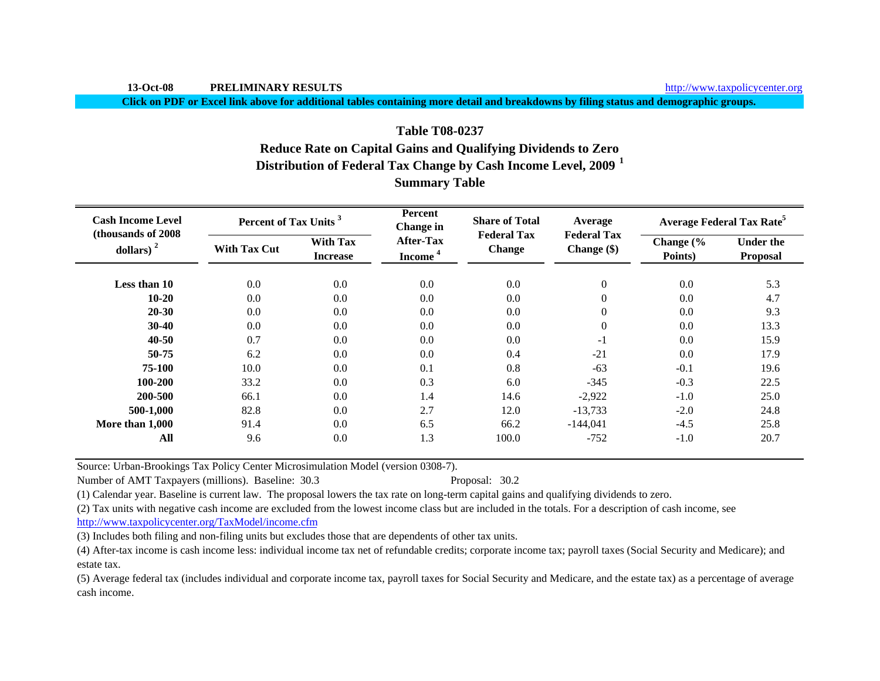**Click on PDF or Excel link above for additional tables containing more detail and breakdowns by filing status and demographic groups.**

# **Distribution of Federal Tax Change by Cash Income Level, 2009 <sup>1</sup> Summary Table Table T08-0237Reduce Rate on Capital Gains and Qualifying Dividends to Zero**

| <b>Cash Income Level</b><br>(thousands of 2008) | Percent of Tax Units <sup>3</sup> |                                    | Percent<br><b>Change</b> in             | <b>Share of Total</b><br><b>Federal Tax</b> | Average                             | <b>Average Federal Tax Rate<sup>5</sup></b> |                                     |  |
|-------------------------------------------------|-----------------------------------|------------------------------------|-----------------------------------------|---------------------------------------------|-------------------------------------|---------------------------------------------|-------------------------------------|--|
| dollars) $2$                                    | <b>With Tax Cut</b>               | <b>With Tax</b><br><b>Increase</b> | <b>After-Tax</b><br>Income <sup>4</sup> | <b>Change</b>                               | <b>Federal Tax</b><br>Change $(\$)$ | Change (%<br>Points)                        | <b>Under the</b><br><b>Proposal</b> |  |
| Less than 10                                    | 0.0                               | 0.0                                | 0.0                                     | 0.0                                         | $\mathbf{0}$                        | 0.0                                         | 5.3                                 |  |
| $10 - 20$                                       | 0.0                               | 0.0                                | 0.0                                     | 0.0                                         | $\overline{0}$                      | 0.0                                         | 4.7                                 |  |
| $20 - 30$                                       | 0.0                               | 0.0                                | 0.0                                     | 0.0                                         | $\overline{0}$                      | 0.0                                         | 9.3                                 |  |
| $30-40$                                         | 0.0                               | 0.0                                | 0.0                                     | 0.0                                         | $\overline{0}$                      | 0.0                                         | 13.3                                |  |
| $40 - 50$                                       | 0.7                               | 0.0                                | 0.0                                     | 0.0                                         | $-1$                                | 0.0                                         | 15.9                                |  |
| 50-75                                           | 6.2                               | 0.0                                | 0.0                                     | 0.4                                         | $-21$                               | 0.0                                         | 17.9                                |  |
| 75-100                                          | 10.0                              | 0.0                                | 0.1                                     | 0.8                                         | $-63$                               | $-0.1$                                      | 19.6                                |  |
| 100-200                                         | 33.2                              | 0.0                                | 0.3                                     | 6.0                                         | $-345$                              | $-0.3$                                      | 22.5                                |  |
| 200-500                                         | 66.1                              | 0.0                                | 1.4                                     | 14.6                                        | $-2,922$                            | $-1.0$                                      | 25.0                                |  |
| 500-1,000                                       | 82.8                              | 0.0                                | 2.7                                     | 12.0                                        | $-13,733$                           | $-2.0$                                      | 24.8                                |  |
| More than 1,000                                 | 91.4                              | 0.0                                | 6.5                                     | 66.2                                        | $-144,041$                          | $-4.5$                                      | 25.8                                |  |
| All                                             | 9.6                               | 0.0                                | 1.3                                     | 100.0                                       | $-752$                              | $-1.0$                                      | 20.7                                |  |

Source: Urban-Brookings Tax Policy Center Microsimulation Model (version 0308-7).

Number of AMT Taxpayers (millions). Baseline: 30.3 Proposal: 30.2

(1) Calendar year. Baseline is current law. The proposal lowers the tax rate on long-term capital gains and qualifying dividends to zero.

(2) Tax units with negative cash income are excluded from the lowest income class but are included in the totals. For a description of cash income, see

http://www.taxpolicycenter.org/TaxModel/income.cfm

(3) Includes both filing and non-filing units but excludes those that are dependents of other tax units.

(4) After-tax income is cash income less: individual income tax net of refundable credits; corporate income tax; payroll taxes (Social Security and Medicare); and estate tax.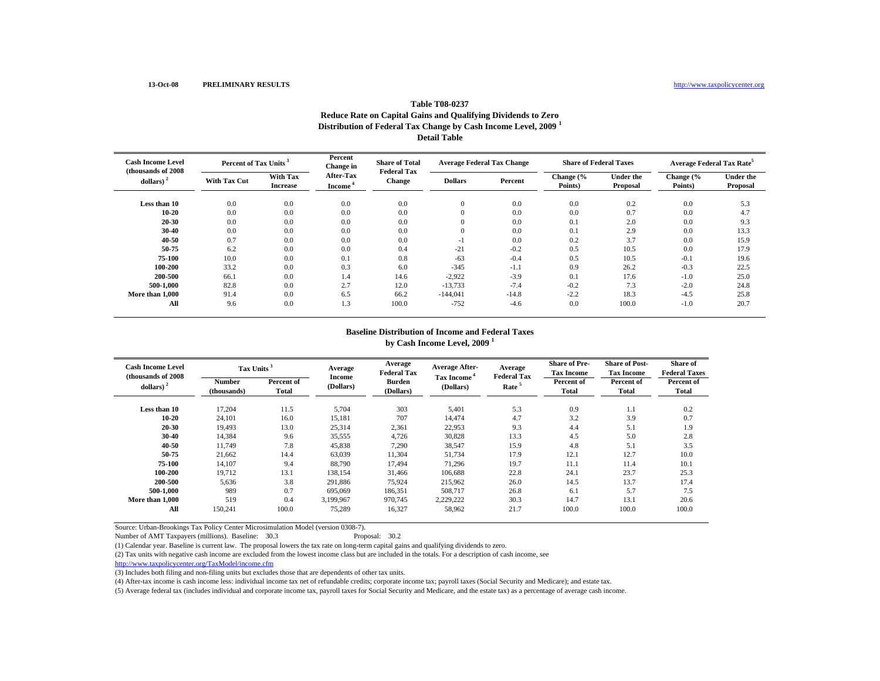## **Table T08-0237Reduce Rate on Capital Gains and Qualifying Dividends to Zero Distribution of Federal Tax Change by Cash Income Level, 2009 <sup>1</sup> Detail Table**

| <b>Cash Income Level</b><br>(thousands of 2008) | Percent of Tax Units <sup>3</sup> |                             | Percent<br>Change in                    | <b>Share of Total</b><br><b>Federal Tax</b> | <b>Average Federal Tax Change</b> |         | <b>Share of Federal Taxes</b> |                       | <b>Average Federal Tax Rate<sup>5</sup></b> |                              |
|-------------------------------------------------|-----------------------------------|-----------------------------|-----------------------------------------|---------------------------------------------|-----------------------------------|---------|-------------------------------|-----------------------|---------------------------------------------|------------------------------|
| dollars)                                        | <b>With Tax Cut</b>               | With Tax<br><b>Increase</b> | <b>After-Tax</b><br>Income <sup>1</sup> | <b>Change</b>                               | <b>Dollars</b>                    | Percent | Change (%<br>Points)          | Under the<br>Proposal | Change (%<br>Points)                        | <b>Under the</b><br>Proposal |
| Less than 10                                    | 0.0                               | 0.0                         | 0.0                                     | 0.0                                         | $\mathbf{0}$                      | 0.0     | 0.0                           | 0.2                   | 0.0                                         | 5.3                          |
| 10-20                                           | 0.0                               | 0.0                         | 0.0                                     | 0.0                                         | $\overline{0}$                    | 0.0     | 0.0                           | 0.7                   | 0.0                                         | 4.7                          |
| 20-30                                           | 0.0                               | 0.0                         | 0.0                                     | 0.0                                         | $\overline{0}$                    | 0.0     | 0.1                           | 2.0                   | 0.0                                         | 9.3                          |
| 30-40                                           | 0.0                               | 0.0                         | 0.0                                     | 0.0                                         | $\overline{0}$                    | 0.0     | 0.1                           | 2.9                   | 0.0                                         | 13.3                         |
| 40-50                                           | 0.7                               | 0.0                         | 0.0                                     | 0.0                                         | -1                                | 0.0     | 0.2                           | 3.7                   | 0.0                                         | 15.9                         |
| 50-75                                           | 6.2                               | 0.0                         | 0.0                                     | 0.4                                         | $-21$                             | $-0.2$  | 0.5                           | 10.5                  | 0.0                                         | 17.9                         |
| 75-100                                          | 10.0                              | 0.0                         | 0.1                                     | 0.8                                         | $-63$                             | $-0.4$  | 0.5                           | 10.5                  | $-0.1$                                      | 19.6                         |
| 100-200                                         | 33.2                              | 0.0                         | 0.3                                     | 6.0                                         | $-345$                            | $-1.1$  | 0.9                           | 26.2                  | $-0.3$                                      | 22.5                         |
| 200-500                                         | 66.1                              | 0.0                         | 1.4                                     | 14.6                                        | $-2,922$                          | $-3.9$  | 0.1                           | 17.6                  | $-1.0$                                      | 25.0                         |
| 500-1.000                                       | 82.8                              | 0.0                         | 2.7                                     | 12.0                                        | $-13,733$                         | $-7.4$  | $-0.2$                        | 7.3                   | $-2.0$                                      | 24.8                         |
| More than 1,000                                 | 91.4                              | 0.0                         | 6.5                                     | 66.2                                        | $-144,041$                        | $-14.8$ | $-2.2$                        | 18.3                  | $-4.5$                                      | 25.8                         |
| All                                             | 9.6                               | 0.0                         | 1.3                                     | 100.0                                       | $-752$                            | $-4.6$  | 0.0                           | 100.0                 | $-1.0$                                      | 20.7                         |

#### **by Cash Income Level, 2009 <sup>1</sup> Baseline Distribution of Income and Federal Taxes**

| <b>Cash Income Level</b><br>(thousands of 2008) | Tax Units <sup>3</sup>       |                     | Average             | Average<br><b>Federal Tax</b> | <b>Average After-</b>                | Average<br><b>Federal Tax</b> | <b>Share of Pre-</b><br><b>Tax Income</b> | <b>Share of Post-</b><br><b>Tax Income</b> | Share of<br><b>Federal Taxes</b> |
|-------------------------------------------------|------------------------------|---------------------|---------------------|-------------------------------|--------------------------------------|-------------------------------|-------------------------------------------|--------------------------------------------|----------------------------------|
| dollars) $2$                                    | <b>Number</b><br>(thousands) | Percent of<br>Total | Income<br>(Dollars) | <b>Burden</b><br>(Dollars)    | Tax Income <sup>4</sup><br>(Dollars) | Rate <sup>5</sup>             | Percent of<br>Total                       | Percent of<br><b>Total</b>                 | Percent of<br>Total              |
| Less than 10                                    | 17,204                       | 11.5                | 5,704               | 303                           | 5,401                                | 5.3                           | 0.9                                       | 1.1                                        | 0.2                              |
| 10-20                                           | 24,101                       | 16.0                | 15,181              | 707                           | 14,474                               | 4.7                           | 3.2                                       | 3.9                                        | 0.7                              |
| 20-30                                           | 19.493                       | 13.0                | 25,314              | 2,361                         | 22,953                               | 9.3                           | 4.4                                       | 5.1                                        | 1.9                              |
| 30-40                                           | 14,384                       | 9.6                 | 35,555              | 4,726                         | 30,828                               | 13.3                          | 4.5                                       | 5.0                                        | 2.8                              |
| 40-50                                           | 11.749                       | 7.8                 | 45,838              | 7,290                         | 38,547                               | 15.9                          | 4.8                                       | 5.1                                        | 3.5                              |
| 50-75                                           | 21,662                       | 14.4                | 63,039              | 11,304                        | 51,734                               | 17.9                          | 12.1                                      | 12.7                                       | 10.0                             |
| 75-100                                          | 14,107                       | 9.4                 | 88.790              | 17.494                        | 71,296                               | 19.7                          | 11.1                                      | 11.4                                       | 10.1                             |
| 100-200                                         | 19.712                       | 13.1                | 138.154             | 31.466                        | 106.688                              | 22.8                          | 24.1                                      | 23.7                                       | 25.3                             |
| 200-500                                         | 5.636                        | 3.8                 | 291.886             | 75.924                        | 215.962                              | 26.0                          | 14.5                                      | 13.7                                       | 17.4                             |
| 500-1.000                                       | 989                          | 0.7                 | 695,069             | 186,351                       | 508,717                              | 26.8                          | 6.1                                       | 5.7                                        | 7.5                              |
| More than 1,000                                 | 519                          | 0.4                 | 3,199,967           | 970,745                       | 2,229,222                            | 30.3                          | 14.7                                      | 13.1                                       | 20.6                             |
| All                                             | 150,241                      | 100.0               | 75,289              | 16,327                        | 58,962                               | 21.7                          | 100.0                                     | 100.0                                      | 100.0                            |

Source: Urban-Brookings Tax Policy Center Microsimulation Model (version 0308-7). Number of AMT Taxpayers (millions). Baseline: 30.3

(1) Calendar year. Baseline is current law. The proposal lowers the tax rate on long-term capital gains and qualifying dividends to zero.

(2) Tax units with negative cash income are excluded from the lowest income class but are included in the totals. For a description of cash income, see

http://www.taxpolicycenter.org/TaxModel/income.cfm

(3) Includes both filing and non-filing units but excludes those that are dependents of other tax units.

(4) After-tax income is cash income less: individual income tax net of refundable credits; corporate income tax; payroll taxes (Social Security and Medicare); and estate tax.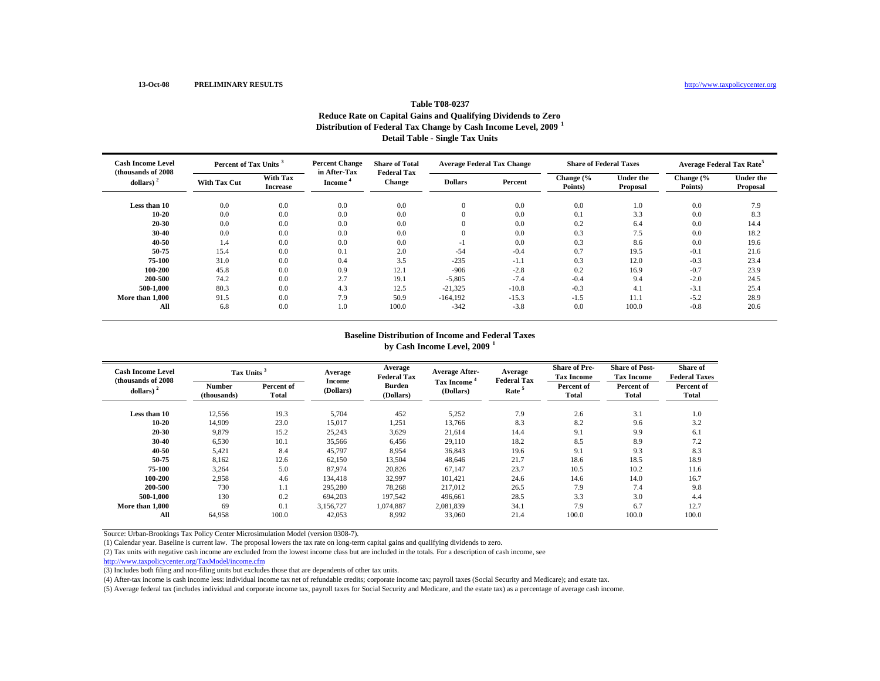# **Table T08-0237Reduce Rate on Capital Gains and Qualifying Dividends to Zero Distribution of Federal Tax Change by Cash Income Level, 2009 <sup>1</sup> Detail Table - Single Tax Units**

| <b>Cash Income Level</b><br>(thousands of 2008) | Percent of Tax Units |                             | <b>Percent Change</b><br>in After-Tax | <b>Share of Total</b><br><b>Federal Tax</b> | <b>Average Federal Tax Change</b> |         | <b>Share of Federal Taxes</b> |                              | <b>Average Federal Tax Rate<sup>5</sup></b> |                              |
|-------------------------------------------------|----------------------|-----------------------------|---------------------------------------|---------------------------------------------|-----------------------------------|---------|-------------------------------|------------------------------|---------------------------------------------|------------------------------|
| dollars)                                        | <b>With Tax Cut</b>  | With Tax<br><b>Increase</b> | Income <sup>'</sup>                   | Change                                      | <b>Dollars</b>                    | Percent | Change (%<br>Points)          | <b>Under the</b><br>Proposal | Change (%<br>Points)                        | <b>Under the</b><br>Proposal |
| Less than 10                                    | 0.0                  | 0.0                         | 0.0                                   | 0.0                                         |                                   | 0.0     | 0.0                           | 1.0                          | 0.0                                         | 7.9                          |
| 10-20                                           | 0.0                  | 0.0                         | 0.0                                   | 0.0                                         |                                   | 0.0     | 0.1                           | 3.3                          | 0.0                                         | 8.3                          |
| 20 30                                           | 0.0                  | 0.0                         | 0.0                                   | 0.0                                         | $\Omega$                          | 0.0     | 0.2                           | 6.4                          | 0.0                                         | 14.4                         |
| 30-40                                           | 0.0                  | 0.0                         | 0.0                                   | 0.0                                         |                                   | 0.0     | 0.3                           | 7.5                          | 0.0                                         | 18.2                         |
| 40 50                                           | 1.4                  | 0.0                         | 0.0                                   | 0.0                                         | - 1                               | 0.0     | 0.3                           | 8.6                          | 0.0                                         | 19.6                         |
| 50 75                                           | 15.4                 | 0.0                         | 0.1                                   | 2.0                                         | $-54$                             | $-0.4$  | 0.7                           | 19.5                         | $-0.1$                                      | 21.6                         |
| 75 100                                          | 31.0                 | 0.0                         | 0.4                                   | 3.5                                         | $-235$                            | $-1.1$  | 0.3                           | 12.0                         | $-0.3$                                      | 23.4                         |
| 100-200                                         | 45.8                 | 0.0                         | 0.9                                   | 12.1                                        | $-906$                            | $-2.8$  | 0.2                           | 16.9                         | $-0.7$                                      | 23.9                         |
| 200-500                                         | 74.2                 | 0.0                         | 2.7                                   | 19.1                                        | $-5,805$                          | $-7.4$  | $-0.4$                        | 9.4                          | $-2.0$                                      | 24.5                         |
| 500-1.000                                       | 80.3                 | 0.0                         | 4.3                                   | 12.5                                        | $-21,325$                         | $-10.8$ | $-0.3$                        | 4.1                          | $-3.1$                                      | 25.4                         |
| More than 1,000                                 | 91.5                 | 0.0                         | 7.9                                   | 50.9                                        | $-164.192$                        | $-15.3$ | $-1.5$                        | 11.1                         | $-5.2$                                      | 28.9                         |
| All                                             | 6.8                  | 0.0                         | 1.0                                   | 100.0                                       | $-342$                            | $-3.8$  | 0.0                           | 100.0                        | $-0.8$                                      | 20.6                         |

#### **Baseline Distribution of Income and Federal Taxes**

**by Cash Income Level, 2009 <sup>1</sup>**

| <b>Cash Income Level</b><br>(thousands of 2008) | Tax Units <sup>3</sup> |                     | Average<br>Income | Average<br><b>Federal Tax</b> | <b>Average After-</b>   | Average<br><b>Federal Tax</b> | <b>Share of Pre-</b><br><b>Tax Income</b> | <b>Share of Post-</b><br><b>Tax Income</b> | Share of<br><b>Federal Taxes</b> |
|-------------------------------------------------|------------------------|---------------------|-------------------|-------------------------------|-------------------------|-------------------------------|-------------------------------------------|--------------------------------------------|----------------------------------|
| dollars) $2$                                    | Number<br>(thousands)  | Percent of<br>Total | (Dollars)         | <b>Burden</b><br>(Dollars)    | Tax Income<br>(Dollars) | Rate <sup>5</sup>             | Percent of<br><b>Total</b>                | Percent of<br>Total                        | Percent of<br>Total              |
| Less than 10                                    | 12,556                 | 19.3                | 5,704             | 452                           | 5,252                   | 7.9                           | 2.6                                       | 3.1                                        | 1.0                              |
| 10 20                                           | 14,909                 | 23.0                | 15,017            | 1,251                         | 13,766                  | 8.3                           | 8.2                                       | 9.6                                        | 3.2                              |
| 20 30                                           | 9,879                  | 15.2                | 25,243            | 3,629                         | 21,614                  | 14.4                          | 9.1                                       | 9.9                                        | 6.1                              |
| 30-40                                           | 6,530                  | 10.1                | 35,566            | 6,456                         | 29,110                  | 18.2                          | 8.5                                       | 8.9                                        | 7.2                              |
| 40-50                                           | 5,421                  | 8.4                 | 45,797            | 8,954                         | 36,843                  | 19.6                          | 9.1                                       | 9.3                                        | 8.3                              |
| 50 75                                           | 8,162                  | 12.6                | 62,150            | 13,504                        | 48.646                  | 21.7                          | 18.6                                      | 18.5                                       | 18.9                             |
| 75-100                                          | 3,264                  | 5.0                 | 87,974            | 20,826                        | 67.147                  | 23.7                          | 10.5                                      | 10.2                                       | 11.6                             |
| 100-200                                         | 2,958                  | 4.6                 | 134,418           | 32,997                        | 101,421                 | 24.6                          | 14.6                                      | 14.0                                       | 16.7                             |
| 200-500                                         | 730                    | 1.1                 | 295,280           | 78,268                        | 217,012                 | 26.5                          | 7.9                                       | 7.4                                        | 9.8                              |
| 500-1.000                                       | 130                    | 0.2                 | 694,203           | 197,542                       | 496,661                 | 28.5                          | 3.3                                       | 3.0                                        | 4.4                              |
| More than 1.000                                 | 69                     | 0.1                 | 3,156,727         | 1,074,887                     | 2,081,839               | 34.1                          | 7.9                                       | 6.7                                        | 12.7                             |
| All                                             | 64,958                 | 100.0               | 42,053            | 8,992                         | 33,060                  | 21.4                          | 100.0                                     | 100.0                                      | 100.0                            |

Source: Urban-Brookings Tax Policy Center Microsimulation Model (version 0308-7).

(1) Calendar year. Baseline is current law. The proposal lowers the tax rate on long-term capital gains and qualifying dividends to zero.

(2) Tax units with negative cash income are excluded from the lowest income class but are included in the totals. For a description of cash income, see

http://www.taxpolicycenter.org/TaxModel/income.cfm

(3) Includes both filing and non-filing units but excludes those that are dependents of other tax units.

(4) After-tax income is cash income less: individual income tax net of refundable credits; corporate income tax; payroll taxes (Social Security and Medicare); and estate tax.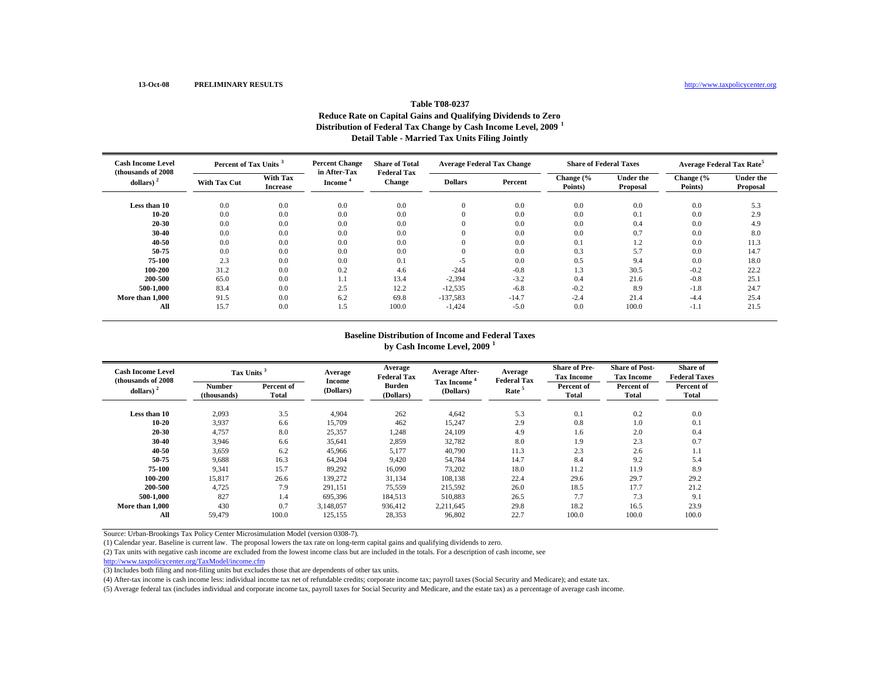# **Table T08-0237Reduce Rate on Capital Gains and Qualifying Dividends to Zero Distribution of Federal Tax Change by Cash Income Level, 2009 <sup>1</sup> Detail Table - Married Tax Units Filing Jointly**

| <b>Cash Income Level</b><br>(thousands of 2008) |                     | <b>Percent Change</b><br>Percent of Tax Units |                                     | <b>Share of Total</b><br><b>Federal Tax</b> | <b>Average Federal Tax Change</b> |         | <b>Share of Federal Taxes</b> |                              | <b>Average Federal Tax Rate<sup>5</sup></b> |                              |
|-------------------------------------------------|---------------------|-----------------------------------------------|-------------------------------------|---------------------------------------------|-----------------------------------|---------|-------------------------------|------------------------------|---------------------------------------------|------------------------------|
| dollars)                                        | <b>With Tax Cut</b> | With Tax<br><b>Increase</b>                   | in After-Tax<br>Income <sup>'</sup> | Change                                      | <b>Dollars</b>                    | Percent | Change (%<br>Points)          | <b>Under the</b><br>Proposal | Change (%<br>Points)                        | <b>Under the</b><br>Proposal |
| Less than 10                                    | 0.0                 | 0.0                                           | 0.0                                 | 0.0                                         |                                   | 0.0     | 0.0                           | 0.0                          | 0.0                                         | 5.3                          |
| 10-20                                           | 0.0                 | 0.0                                           | 0.0                                 | 0.0                                         | $_{0}$                            | 0.0     | 0.0                           | 0.1                          | 0.0                                         | 2.9                          |
| 20 30                                           | 0.0                 | 0.0                                           | 0.0                                 | 0.0                                         | $\Omega$                          | 0.0     | 0.0                           | 0.4                          | 0.0                                         | 4.9                          |
| 30-40                                           | 0.0                 | 0.0                                           | 0.0                                 | 0.0                                         |                                   | 0.0     | 0.0                           | 0.7                          | 0.0                                         | 8.0                          |
| 40-50                                           | 0.0                 | 0.0                                           | 0.0                                 | 0.0                                         |                                   | 0.0     | 0.1                           | 1.2                          | 0.0                                         | 11.3                         |
| 50 75                                           | 0.0                 | 0.0                                           | 0.0                                 | 0.0                                         |                                   | 0.0     | 0.3                           | 5.7                          | 0.0                                         | 14.7                         |
| 75 100                                          | 2.3                 | 0.0                                           | 0.0                                 | 0.1                                         | $-5$                              | 0.0     | 0.5                           | 9.4                          | 0.0                                         | 18.0                         |
| 100-200                                         | 31.2                | 0.0                                           | 0.2                                 | 4.6                                         | $-244$                            | $-0.8$  | 1.3                           | 30.5                         | $-0.2$                                      | 22.2                         |
| 200-500                                         | 65.0                | 0.0                                           | 1.1                                 | 13.4                                        | $-2,394$                          | $-3.2$  | 0.4                           | 21.6                         | $-0.8$                                      | 25.1                         |
| 500-1.000                                       | 83.4                | 0.0                                           | 2.5                                 | 12.2                                        | $-12,535$                         | $-6.8$  | $-0.2$                        | 8.9                          | $-1.8$                                      | 24.7                         |
| More than 1,000                                 | 91.5                | 0.0                                           | 6.2                                 | 69.8                                        | $-137.583$                        | $-14.7$ | $-2.4$                        | 21.4                         | $-4.4$                                      | 25.4                         |
| All                                             | 15.7                | 0.0                                           | 1.5                                 | 100.0                                       | $-1,424$                          | $-5.0$  | 0.0                           | 100.0                        | $-1.1$                                      | 21.5                         |

#### **Baseline Distribution of Income and Federal Taxes**

**by Cash Income Level, 2009 <sup>1</sup>**

| <b>Cash Income Level</b><br>(thousands of 2008) | Tax Units <sup>3</sup> |                            | Average             | Average<br><b>Federal Tax</b> | <b>Average After-</b>   | Average<br><b>Federal Tax</b> | <b>Share of Pre-</b><br><b>Tax Income</b> | <b>Share of Post-</b><br><b>Tax Income</b> | Share of<br><b>Federal Taxes</b> |
|-------------------------------------------------|------------------------|----------------------------|---------------------|-------------------------------|-------------------------|-------------------------------|-------------------------------------------|--------------------------------------------|----------------------------------|
| dollars) $2$                                    | Number<br>(thousands)  | Percent of<br><b>Total</b> | Income<br>(Dollars) | <b>Burden</b><br>(Dollars)    | Tax Income<br>(Dollars) | Rate <sup>5</sup>             | Percent of<br>Total                       | Percent of<br>Total                        | Percent of<br>Total              |
| Less than 10                                    | 2,093                  | 3.5                        | 4,904               | 262                           | 4,642                   | 5.3                           | 0.1                                       | 0.2                                        | 0.0                              |
| 10 20                                           | 3,937                  | 6.6                        | 15,709              | 462                           | 15,247                  | 2.9                           | 0.8                                       | 1.0                                        | 0.1                              |
| 20 30                                           | 4,757                  | 8.0                        | 25,357              | 1,248                         | 24,109                  | 4.9                           | 1.6                                       | 2.0                                        | 0.4                              |
| 30-40                                           | 3,946                  | 6.6                        | 35,641              | 2,859                         | 32,782                  | 8.0                           | 1.9                                       | 2.3                                        | 0.7                              |
| 40-50                                           | 3,659                  | 6.2                        | 45,966              | 5,177                         | 40,790                  | 11.3                          | 2.3                                       | 2.6                                        | 1.1                              |
| 50 75                                           | 9,688                  | 16.3                       | 64,204              | 9.420                         | 54.784                  | 14.7                          | 8.4                                       | 9.2                                        | 5.4                              |
| 75-100                                          | 9,341                  | 15.7                       | 89,292              | 16,090                        | 73,202                  | 18.0                          | 11.2                                      | 11.9                                       | 8.9                              |
| 100-200                                         | 15,817                 | 26.6                       | 139,272             | 31,134                        | 108,138                 | 22.4                          | 29.6                                      | 29.7                                       | 29.2                             |
| 200-500                                         | 4,725                  | 7.9                        | 291,151             | 75,559                        | 215,592                 | 26.0                          | 18.5                                      | 17.7                                       | 21.2                             |
| 500-1.000                                       | 827                    | 1.4                        | 695,396             | 184,513                       | 510,883                 | 26.5                          | 7.7                                       | 7.3                                        | 9.1                              |
| More than 1,000                                 | 430                    | 0.7                        | 3,148,057           | 936,412                       | 2.211.645               | 29.8                          | 18.2                                      | 16.5                                       | 23.9                             |
| All                                             | 59.479                 | 100.0                      | 125,155             | 28,353                        | 96,802                  | 22.7                          | 100.0                                     | 100.0                                      | 100.0                            |

Source: Urban-Brookings Tax Policy Center Microsimulation Model (version 0308-7).

(1) Calendar year. Baseline is current law. The proposal lowers the tax rate on long-term capital gains and qualifying dividends to zero.

(2) Tax units with negative cash income are excluded from the lowest income class but are included in the totals. For a description of cash income, see

http://www.taxpolicycenter.org/TaxModel/income.cfm

(3) Includes both filing and non-filing units but excludes those that are dependents of other tax units.

(4) After-tax income is cash income less: individual income tax net of refundable credits; corporate income tax; payroll taxes (Social Security and Medicare); and estate tax.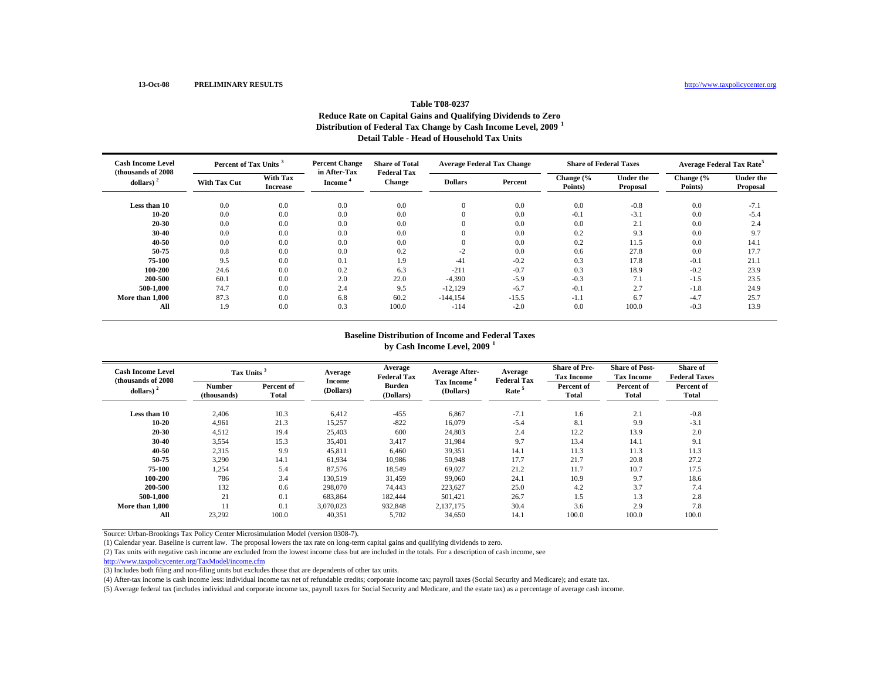## **Table T08-0237Reduce Rate on Capital Gains and Qualifying Dividends to Zero Distribution of Federal Tax Change by Cash Income Level, 2009 <sup>1</sup> Detail Table - Head of Household Tax Units**

| <b>Cash Income Level</b><br>(thousands of 2008) |                     | <b>Percent Change</b><br>Percent of Tax Units <sup>3</sup> |                                     | <b>Share of Total</b><br><b>Federal Tax</b> | <b>Average Federal Tax Change</b> |         | <b>Share of Federal Taxes</b> |                              | <b>Average Federal Tax Rate<sup>5</sup></b> |                              |
|-------------------------------------------------|---------------------|------------------------------------------------------------|-------------------------------------|---------------------------------------------|-----------------------------------|---------|-------------------------------|------------------------------|---------------------------------------------|------------------------------|
| dollars)                                        | <b>With Tax Cut</b> | <b>With Tax</b><br><b>Increase</b>                         | in After-Tax<br>Income <sup>®</sup> | <b>Change</b>                               | <b>Dollars</b>                    | Percent | Change (%<br>Points)          | <b>Under the</b><br>Proposal | Change (%<br>Points)                        | <b>Under the</b><br>Proposal |
| Less than 10                                    | 0.0                 | 0.0                                                        | 0.0                                 | 0.0                                         | $\mathbf{0}$                      | 0.0     | 0.0                           | $-0.8$                       | 0.0                                         | $-7.1$                       |
| 10 20                                           | 0.0                 | 0.0                                                        | 0.0                                 | 0.0                                         | $\Omega$                          | 0.0     | $-0.1$                        | $-3.1$                       | 0.0                                         | $-5.4$                       |
| 20-30                                           | 0.0                 | 0.0                                                        | 0.0                                 | 0.0                                         | $\Omega$                          | 0.0     | 0.0                           | 2.1                          | 0.0                                         | 2.4                          |
| 30-40                                           | 0.0                 | 0.0                                                        | 0.0                                 | 0.0                                         | $\Omega$                          | 0.0     | 0.2                           | 9.3                          | 0.0                                         | 9.7                          |
| 40 50                                           | 0.0                 | 0.0                                                        | 0.0                                 | 0.0                                         | $\Omega$                          | 0.0     | 0.2                           | 11.5                         | 0.0                                         | 14.1                         |
| 50 75                                           | 0.8                 | 0.0                                                        | 0.0                                 | 0.2                                         | $-2$                              | 0.0     | 0.6                           | 27.8                         | 0.0                                         | 17.7                         |
| 75-100                                          | 9.5                 | 0.0                                                        | 0.1                                 | 1.9                                         | $-41$                             | $-0.2$  | 0.3                           | 17.8                         | $-0.1$                                      | 21.1                         |
| 100-200                                         | 24.6                | 0.0                                                        | 0.2                                 | 6.3                                         | $-211$                            | $-0.7$  | 0.3                           | 18.9                         | $-0.2$                                      | 23.9                         |
| 200-500                                         | 60.1                | 0.0                                                        | 2.0                                 | 22.0                                        | $-4,390$                          | $-5.9$  | $-0.3$                        | 7.1                          | $-1.5$                                      | 23.5                         |
| 500-1.000                                       | 74.7                | 0.0                                                        | 2.4                                 | 9.5                                         | $-12.129$                         | $-6.7$  | $-0.1$                        | 2.7                          | $-1.8$                                      | 24.9                         |
| More than 1,000                                 | 87.3                | $0.0\,$                                                    | 6.8                                 | 60.2                                        | $-144, 154$                       | $-15.5$ | $-1.1$                        | 6.7                          | $-4.7$                                      | 25.7                         |
| All                                             | 1.9                 | 0.0                                                        | 0.3                                 | 100.0                                       | $-114$                            | $-2.0$  | 0.0                           | 100.0                        | $-0.3$                                      | 13.9                         |

#### **Baseline Distribution of Income and Federal Taxes**

**by Cash Income Level, 2009 <sup>1</sup>**

| <b>Cash Income Level</b><br>(thousands of 2008) | Tax Units <sup>3</sup> |                            | Average<br>Income | Average<br><b>Federal Tax</b> | <b>Average After-</b>   | Average<br><b>Federal Tax</b> | <b>Share of Pre-</b><br><b>Tax Income</b> | <b>Share of Post-</b><br><b>Tax Income</b> | Share of<br><b>Federal Taxes</b> |
|-------------------------------------------------|------------------------|----------------------------|-------------------|-------------------------------|-------------------------|-------------------------------|-------------------------------------------|--------------------------------------------|----------------------------------|
| dollars) $2$                                    | Number<br>(thousands)  | Percent of<br><b>Total</b> | (Dollars)         | <b>Burden</b><br>(Dollars)    | Tax Income<br>(Dollars) | Rate <sup>5</sup>             | Percent of<br><b>Total</b>                | Percent of<br>Total                        | Percent of<br>Total              |
| Less than 10                                    | 2,406                  | 10.3                       | 6,412             | $-455$                        | 6,867                   | $-7.1$                        | 1.6                                       | 2.1                                        | $-0.8$                           |
| 10 20                                           | 4,961                  | 21.3                       | 15,257            | $-822$                        | 16,079                  | $-5.4$                        | 8.1                                       | 9.9                                        | $-3.1$                           |
| 20 30                                           | 4,512                  | 19.4                       | 25,403            | 600                           | 24,803                  | 2.4                           | 12.2                                      | 13.9                                       | 2.0                              |
| 30-40                                           | 3,554                  | 15.3                       | 35,401            | 3,417                         | 31,984                  | 9.7                           | 13.4                                      | 14.1                                       | 9.1                              |
| 40-50                                           | 2,315                  | 9.9                        | 45,811            | 6.460                         | 39,351                  | 14.1                          | 11.3                                      | 11.3                                       | 11.3                             |
| 50 75                                           | 3,290                  | 14.1                       | 61,934            | 10.986                        | 50.948                  | 17.7                          | 21.7                                      | 20.8                                       | 27.2                             |
| 75-100                                          | 1,254                  | 5.4                        | 87,576            | 18,549                        | 69,027                  | 21.2                          | 11.7                                      | 10.7                                       | 17.5                             |
| 100-200                                         | 786                    | 3.4                        | 130,519           | 31,459                        | 99,060                  | 24.1                          | 10.9                                      | 9.7                                        | 18.6                             |
| 200-500                                         | 132                    | 0.6                        | 298,070           | 74,443                        | 223,627                 | 25.0                          | 4.2                                       | 3.7                                        | 7.4                              |
| 500-1.000                                       | 21                     | 0.1                        | 683,864           | 182,444                       | 501,421                 | 26.7                          | 1.5                                       | 1.3                                        | 2.8                              |
| More than 1,000                                 | 11                     | 0.1                        | 3.070.023         | 932,848                       | 2.137.175               | 30.4                          | 3.6                                       | 2.9                                        | 7.8                              |
| All                                             | 23,292                 | 100.0                      | 40,351            | 5,702                         | 34,650                  | 14.1                          | 100.0                                     | 100.0                                      | 100.0                            |

Source: Urban-Brookings Tax Policy Center Microsimulation Model (version 0308-7).

(1) Calendar year. Baseline is current law. The proposal lowers the tax rate on long-term capital gains and qualifying dividends to zero.

(2) Tax units with negative cash income are excluded from the lowest income class but are included in the totals. For a description of cash income, see

http://www.taxpolicycenter.org/TaxModel/income.cfm

(3) Includes both filing and non-filing units but excludes those that are dependents of other tax units.

(4) After-tax income is cash income less: individual income tax net of refundable credits; corporate income tax; payroll taxes (Social Security and Medicare); and estate tax.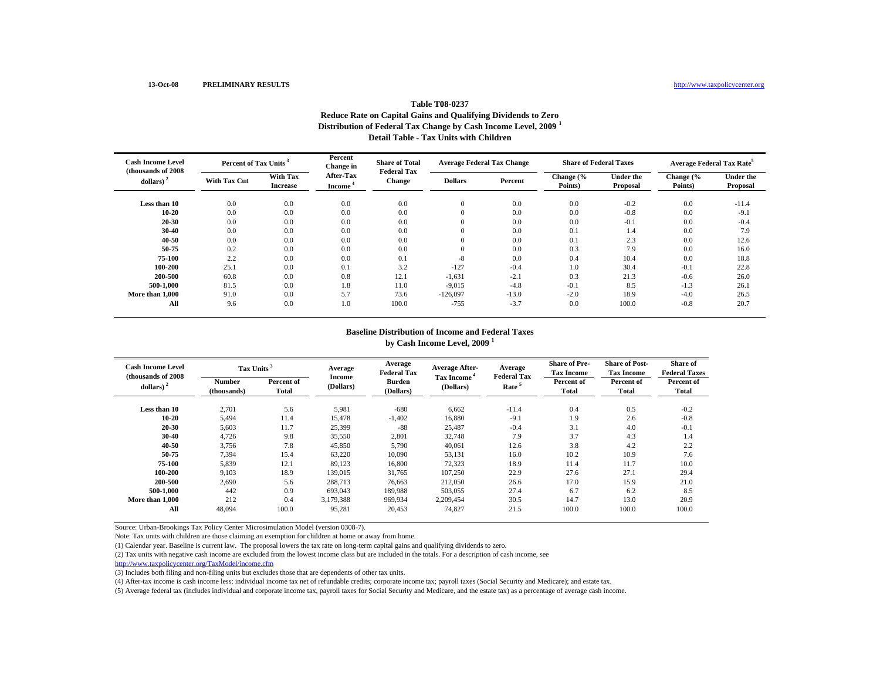## **Table T08-0237Reduce Rate on Capital Gains and Qualifying Dividends to Zero Distribution of Federal Tax Change by Cash Income Level, 2009 <sup>1</sup> Detail Table - Tax Units with Children**

| <b>Cash Income Level</b><br>(thousands of 2008) | Percent of Tax Units <sup>3</sup> |                             | Percent<br>Change in                    | <b>Share of Total</b><br><b>Federal Tax</b> | <b>Average Federal Tax Change</b> |         | <b>Share of Federal Taxes</b> |                              | <b>Average Federal Tax Rate<sup>5</sup></b> |                              |
|-------------------------------------------------|-----------------------------------|-----------------------------|-----------------------------------------|---------------------------------------------|-----------------------------------|---------|-------------------------------|------------------------------|---------------------------------------------|------------------------------|
| dollars)                                        | <b>With Tax Cut</b>               | With Tax<br><b>Increase</b> | <b>After-Tax</b><br>Income <sup>®</sup> | <b>Change</b>                               | <b>Dollars</b>                    | Percent | Change (%<br>Points)          | <b>Under the</b><br>Proposal | Change (%<br>Points)                        | <b>Under the</b><br>Proposal |
| Less than 10                                    | 0.0                               | 0.0                         | 0.0                                     | 0.0                                         | $\mathbf{0}$                      | 0.0     | 0.0                           | $-0.2$                       | 0.0                                         | $-11.4$                      |
| 10-20                                           | 0.0                               | 0.0                         | 0.0                                     | 0.0                                         | $\overline{0}$                    | 0.0     | 0.0                           | $-0.8$                       | 0.0                                         | $-9.1$                       |
| 20-30                                           | 0.0                               | 0.0                         | 0.0                                     | 0.0                                         | $\overline{0}$                    | 0.0     | 0.0                           | $-0.1$                       | 0.0                                         | $-0.4$                       |
| 30-40                                           | 0.0                               | 0.0                         | 0.0                                     | 0.0                                         | $\overline{0}$                    | 0.0     | 0.1                           | 1.4                          | 0.0                                         | 7.9                          |
| 40-50                                           | 0.0                               | 0.0                         | 0.0                                     | 0.0                                         | $\mathbf{0}$                      | 0.0     | 0.1                           | 2.3                          | 0.0                                         | 12.6                         |
| 50-75                                           | 0.2                               | 0.0                         | 0.0                                     | 0.0                                         | $\mathbf{0}$                      | 0.0     | 0.3                           | 7.9                          | 0.0                                         | 16.0                         |
| 75-100                                          | 2.2                               | 0.0                         | 0.0                                     | 0.1                                         | $-8$                              | 0.0     | 0.4                           | 10.4                         | 0.0                                         | 18.8                         |
| 100-200                                         | 25.1                              | 0.0                         | 0.1                                     | 3.2                                         | $-127$                            | $-0.4$  | 1.0                           | 30.4                         | $-0.1$                                      | 22.8                         |
| 200-500                                         | 60.8                              | 0.0                         | 0.8                                     | 12.1                                        | $-1,631$                          | $-2.1$  | 0.3                           | 21.3                         | $-0.6$                                      | 26.0                         |
| 500-1.000                                       | 81.5                              | 0.0                         | 1.8                                     | 11.0                                        | $-9,015$                          | $-4.8$  | $-0.1$                        | 8.5                          | $-1.3$                                      | 26.1                         |
| More than 1,000                                 | 91.0                              | 0.0                         | 5.7                                     | 73.6                                        | $-126,097$                        | $-13.0$ | $-2.0$                        | 18.9                         | $-4.0$                                      | 26.5                         |
| All                                             | 9.6                               | 0.0                         | 1.0                                     | 100.0                                       | $-755$                            | $-3.7$  | 0.0                           | 100.0                        | $-0.8$                                      | 20.7                         |

#### **Baseline Distribution of Income and Federal Taxes by Cash Income Level, 2009 <sup>1</sup>**

| <b>Cash Income Level</b><br>(thousands of 2008) |                              | Tax Units <sup>3</sup>     |                     | Average<br><b>Federal Tax</b> | <b>Average After-</b>                | Average<br><b>Federal Tax</b> | <b>Share of Pre-</b><br><b>Tax Income</b> | <b>Share of Post-</b><br><b>Tax Income</b> | Share of<br><b>Federal Taxes</b> |
|-------------------------------------------------|------------------------------|----------------------------|---------------------|-------------------------------|--------------------------------------|-------------------------------|-------------------------------------------|--------------------------------------------|----------------------------------|
| dollars) $2$                                    | <b>Number</b><br>(thousands) | Percent of<br><b>Total</b> | Income<br>(Dollars) | <b>Burden</b><br>(Dollars)    | Tax Income <sup>4</sup><br>(Dollars) | Rate <sup>5</sup>             | Percent of<br>Total                       | Percent of<br>Total                        | Percent of<br><b>Total</b>       |
| Less than 10                                    | 2,701                        | 5.6                        | 5,981               | $-680$                        | 6,662                                | $-11.4$                       | 0.4                                       | 0.5                                        | $-0.2$                           |
| 10-20                                           | 5,494                        | 11.4                       | 15,478              | $-1,402$                      | 16,880                               | $-9.1$                        | 1.9                                       | 2.6                                        | $-0.8$                           |
| 20-30                                           | 5,603                        | 11.7                       | 25,399              | $-88$                         | 25,487                               | $-0.4$                        | 3.1                                       | 4.0                                        | $-0.1$                           |
| 30-40                                           | 4,726                        | 9.8                        | 35,550              | 2,801                         | 32,748                               | 7.9                           | 3.7                                       | 4.3                                        | 1.4                              |
| 40-50                                           | 3,756                        | 7.8                        | 45,850              | 5,790                         | 40,061                               | 12.6                          | 3.8                                       | 4.2                                        | 2.2                              |
| 50-75                                           | 7,394                        | 15.4                       | 63,220              | 10,090                        | 53,131                               | 16.0                          | 10.2                                      | 10.9                                       | 7.6                              |
| 75-100                                          | 5,839                        | 12.1                       | 89,123              | 16,800                        | 72,323                               | 18.9                          | 11.4                                      | 11.7                                       | 10.0                             |
| 100-200                                         | 9,103                        | 18.9                       | 139,015             | 31.765                        | 107.250                              | 22.9                          | 27.6                                      | 27.1                                       | 29.4                             |
| 200-500                                         | 2,690                        | 5.6                        | 288,713             | 76.663                        | 212,050                              | 26.6                          | 17.0                                      | 15.9                                       | 21.0                             |
| 500-1.000                                       | 442                          | 0.9                        | 693,043             | 189,988                       | 503,055                              | 27.4                          | 6.7                                       | 6.2                                        | 8.5                              |
| More than 1.000                                 | 212                          | 0.4                        | 3,179,388           | 969,934                       | 2,209,454                            | 30.5                          | 14.7                                      | 13.0                                       | 20.9                             |
| All                                             | 48.094                       | 100.0                      | 95,281              | 20,453                        | 74,827                               | 21.5                          | 100.0                                     | 100.0                                      | 100.0                            |

Source: Urban-Brookings Tax Policy Center Microsimulation Model (version 0308-7).

Note: Tax units with children are those claiming an exemption for children at home or away from home.

(1) Calendar year. Baseline is current law. The proposal lowers the tax rate on long-term capital gains and qualifying dividends to zero.

(2) Tax units with negative cash income are excluded from the lowest income class but are included in the totals. For a description of cash income, see

http://www.taxpolicycenter.org/TaxModel/income.cfm

(3) Includes both filing and non-filing units but excludes those that are dependents of other tax units.

(4) After-tax income is cash income less: individual income tax net of refundable credits; corporate income tax; payroll taxes (Social Security and Medicare); and estate tax.